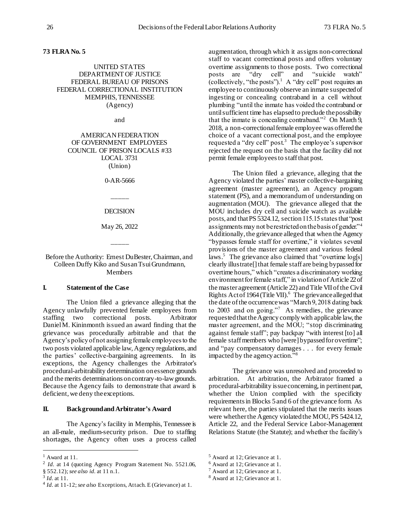### **73 FLRA No. 5**

# UNITED STATES DEPARTMENT OF JUSTICE FEDERAL BUREAU OF PRISONS FEDERAL CORRECTIONAL INSTITUTION MEMPHIS, TENNESSEE (Agency)

and

AMERICAN FEDERATION OF GOVERNMENT EMPLOYEES COUNCIL OF PRISON LOCALS #33 LOCAL 3731 (Union)

0-AR-5666

\_\_\_\_\_

# DECISION

May 26, 2022

\_\_\_\_\_

Before the Authority: Ernest DuBester, Chairman, and Colleen Duffy Kiko and Susan Tsui Grundmann, Members

### **I. Statement of the Case**

The Union filed a grievance alleging that the Agency unlawfully prevented female employees from staffing two correctional posts. Arbitrator DanielM. Kininmonth issued an award finding that the grievance was procedurally arbitrable and that the Agency's policy of not assigning female employees to the two posts violated applicable law, Agency regulations, and the parties' collective-bargaining agreements. In its exceptions, the Agency challenges the Arbitrator's procedural-arbitrability determination on essence grounds and the merits determinations on contrary-to-law grounds. Because the Agency fails to demonstrate that award is deficient, we deny the exceptions.

#### **II. Background and Arbitrator's Award**

The Agency's facility in Memphis, Tennessee is an all-male, medium-security prison. Due to staffing shortages, the Agency often uses a process called

l

augmentation, through which it assigns non-correctional staff to vacant correctional posts and offers voluntary overtime assignments to those posts. Two correctional posts are "dry cell" and "suicide watch" (collectively, "the posts").<sup>1</sup> A "dry cell" post requires an employee to continuously observe an inmate suspected of ingesting or concealing contraband in a cell without plumbing "until the inmate has voided the contraband or until sufficient time has elapsed to preclude the possibility that the inmate is concealing contraband."<sup>2</sup> On March 9, 2018, a non-correctional female employee was offered the choice of a vacant correctional post, and the employee requested a "dry cell" post.<sup>3</sup> The employee's supervisor rejected the request on the basis that the facility did not permit female employees to staff that post.

The Union filed a grievance, alleging that the Agency violated the parties' master collective-bargaining agreement (master agreement), an Agency program statement (PS), and a memorandum of understanding on augmentation (MOU). The grievance alleged that the MOU includes dry cell and suicide watch as available posts, and that PS 5324.12, section 115.15 states that "post" assignments may not be restricted on the basis of gender."<sup>4</sup> Additionally, the grievance alleged that when the Agency "bypasses female staff for overtime," it violates several provisions of the master agreement and various federal laws.<sup>5</sup> The grievance also claimed that "overtime log[s] clearly illustrate[] that female staff are being bypassed for overtime hours," which "creates a discriminatory working environment for female staff," in violation of Article 22 of the master agreement (Article 22) andTitle VII of the Civil Rights Act of 1964 (Title VII).<sup>6</sup> The grievance alleged that the date of the occurrence was "March 9, 2018 dating back to 2003 and on going."<sup>7</sup> As remedies, the grievance requested that the Agency comply with applicable law, the master agreement, and the MOU; "stop discriminating against female staff"; pay backpay "with interest [to] all female staff members who [were] bypassed for overtime"; and "pay compensatory damages . . . for every female impacted by the agency action."<sup>8</sup>

The grievance was unresolved and proceeded to arbitration. At arbitration, the Arbitrator framed a procedural-arbitrability issue concerning, in pertinentpart, whether the Union complied with the specificity requirements in Blocks 5 and 6 of the grievance form. As relevant here, the parties stipulated that the merits issues were whether the Agency violatedthe MOU, PS 5424.12, Article 22, and the Federal Service Labor-Management Relations Statute (the Statute); and whether the facility's

 $<sup>1</sup>$  Award at 11.</sup>

<sup>2</sup> *Id.* at 14 (quoting Agency Program Statement No. 5521.06, § 552.12); *see also id.* at 11 n.1. 3

*Id.* at 11.

<sup>4</sup> *Id.* at 11-12; *see also* Exceptions, Attach. E (Grievance) at 1.

<sup>5</sup> Award at 12; Grievance at 1.

<sup>6</sup> Award at 12; Grievance at 1.

<sup>7</sup> Award at 12; Grievance at 1.

<sup>8</sup> Award at 12; Grievance at 1.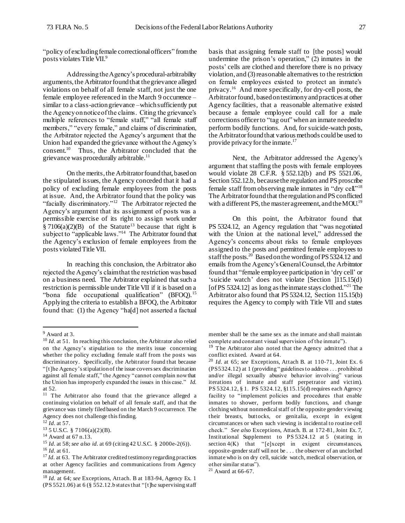"policy of excluding female correctional officers" from the posts violates Title VII.<sup>9</sup>

Addressing the Agency's procedural-arbitrability arguments, the Arbitrator found that the grievance alleged violations on behalf of all female staff, not just the one female employee referenced in the March 9 occurrence – similar to a class-action grievance –which sufficiently put the Agency on notice of the claims. Citing the grievance's multiple references to "female staff," "all female staff members," "every female," and claims of discrimination, the Arbitrator rejected the Agency's argument that the Union had expanded the grievance without the Agency's consent. $10$  Thus, the Arbitrator concluded that the grievance was procedurally arbitrable.<sup>11</sup>

On the merits, the Arbitrator found that, based on the stipulated issues, the Agency conceded that it had a policy of excluding female employees from the posts at issue. And, the Arbitrator found that the policy was "facially discriminatory."<sup>12</sup> The Arbitrator rejected the Agency's argument that its assignment of posts was a permissible exercise of its right to assign work under  $\frac{8}{3}$  7106(a)(2)(B) of the Statute<sup>13</sup> because that right is subject to "applicable laws."<sup>14</sup> The Arbitrator found that the Agency's exclusion of female employees from the posts violated Title VII.

In reaching this conclusion, the Arbitrator also rejected the Agency's claim that the restriction was based on a business need. The Arbitrator explained that such a restriction is permissible under Title VII if it is based on a "bona fide occupational qualification" (BFOQ).<sup>15</sup> Applying the criteria to establish a BFOQ, the Arbitrator found that: (1) the Agency "ha[d] not asserted a factual

l

<sup>13</sup> 5 U.S.C. § 7106(a)(2)(B).

basis that assigning female staff to [the posts] would undermine the prison's operation," (2) inmates in the posts' cells are clothed and therefore there is no privacy violation, and (3) reasonable alternatives to the restriction on female employees existed to protect an inmate's privacy.<sup>16</sup> And more specifically, for dry-cell posts, the Arbitrator found, based on testimony and practices at other Agency facilities, that a reasonable alternative existed because a female employee could call for a male corrections officer to "tag out" when an inmate needed to perform bodily functions. And, for suicide-watch posts, the Arbitrator found that various methods could be used to provide privacy for the inmate.<sup>17</sup>

Next, the Arbitrator addressed the Agency's argument that staffing the posts with female employees would violate 28 C.F.R. § 552.12(b) and PS 5521.06, Section 552.12.b, because the regulation and PS proscribe female staff from observing male inmates in "dry cell."<sup>18</sup> The Arbitrator found that the regulation and PS conflicted with a different PS, the master agreement, and the MOU.<sup>19</sup>

On this point, the Arbitrator found that PS 5324.12, an Agency regulation that "was negotiated with the Union at the national level," addressed the Agency's concerns about risks to female employees assigned to the posts and permitted female employees to staff the posts.<sup>20</sup> Based on the wording of PS 5324.12 and emails fromthe Agency's General Counsel, the Arbitrator found that "female employee participation in 'dry cell' or 'suicide watch' does not violate [Section ]115.15(d) [of PS 5324.12] as long as the inmate stays clothed."<sup>21</sup> The Arbitrator also found that PS 5324.12, Section 115.15(b) requires the Agency to comply with Title VII and states

<sup>9</sup> Award at 3.

<sup>&</sup>lt;sup>10</sup> *Id.* at 51. In reaching this conclusion, the Arbitrator also relied on the Agency's stipulation to the merits issue concerning whether the policy excluding female staff from the posts was discriminatory. Specifically, the Arbitrator found that because "[t]he Agency's stipulation of the issue covers sex discrimination against all female staff," the Agency "cannot complain now that the Union has improperly expanded the issues in this case." *Id*. at 52.

<sup>&</sup>lt;sup>11</sup> The Arbitrator also found that the grievance alleged a continuing violation on behalf of all female staff, and that the grievance was timely filed based on the March 9 occurrence. The Agency does not challenge this finding.  $^{12}$ *Id.* at 57.

<sup>14</sup> Award at 67 n.13.

<sup>15</sup> *Id.* at 58; *see also id.* at 69 (citing 42 U.S.C. § 2000e-2(6)). <sup>16</sup> *Id.* at 61.

<sup>&</sup>lt;sup>17</sup> *Id.* at 63. The Arbitrator credited testimony regarding practices at other Agency facilities and communications from Agency management.

<sup>18</sup> *Id.* at 64; *see* Exceptions, Attach. B at 183-94, Agency Ex. 1 (PS 5521.06) at  $6$  (§ 552.12.b states that "[t]he supervising staff

member shall be the same sex as the inmate and shall maintain complete and constant visual supervision of the inmate").

<sup>&</sup>lt;sup>19</sup> The Arbitrator also noted that the Agency admitted that a conflict existed. Award at 64.

<sup>20</sup> *Id.* at 65; *see* Exceptions, Attach B. at 110-71, Joint Ex. 6 (PS 5324.12) at 1 (providing "guidelines to address . . . prohibited and/or illegal sexually abusive behavior involving" various iterations of inmate and staff perpetrator and victim). PS 5324.12, § 1. PS 5324.12, §115.15(d) requires each Agency facility to "implement policies and procedures that enable inmates to shower, perform bodily functions, and change clothing without nonmedical staff of the opposite gender viewing their breasts, buttocks, or genitalia, except in exigent circumstances or when such viewing is incidental to routine cell check." *See also* Exceptions, Attach. B. at 172-81, Joint Ex. 7, Institutional Supplement to PS 5324.12 at 5 (stating in section 4(K) that "[e]xcept in exigent circumstances, opposite-gender staff will not be . . . the observer of an unclothed inmate who is on dry cell, suicide watch, medical observation, or other similar status").

 $21$  Award at 66-67.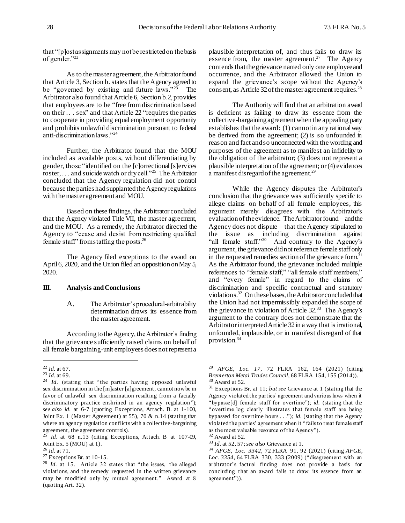that "[p]ost assignments may not be restricted on the basis of gender."<sup>22</sup>

As to the master agreement, the Arbitrator found that Article 3, Section b. states that the Agency agreed to be "governed by existing and future laws."<sup>23</sup> The Arbitrator also found that Article 6, Section b.2, provides that employees are to be "free from discrimination based on their . . . sex" and that Article 22 "requires the parties to cooperate in providing equal employment opportunity and prohibits unlawful discrimination pursuant to federal anti-discrimination laws."<sup>24</sup>

Further, the Arbitrator found that the MOU included as available posts, without differentiating by gender, those "identified on the [c]orrectional [s]ervices roster, ... and suicide watch or dry cell."<sup>25</sup> The Arbitrator concluded that the Agency regulation did not control because the parties had supplanted the Agency regulations with the master agreement and MOU.

Based on these findings, the Arbitrator concluded that the Agency violated Title VII, the master agreement, and the MOU. As a remedy, the Arbitrator directed the Agency to "cease and desist from restricting qualified female staff" from staffing the posts.<sup>26</sup>

The Agency filed exceptions to the award on April 6, 2020, and the Union filed an opposition on May 5, 2020.

### **III. Analysis and Conclusions**

A. The Arbitrator's procedural-arbitrability determination draws its essence from the master agreement.

According to the Agency, the Arbitrator's finding that the grievance sufficiently raised claims on behalf of all female bargaining-unit employees does not represent a

l

plausible interpretation of, and thus fails to draw its essence from, the master agreement.<sup>27</sup> The Agency contends that the grievance named only one employee and occurrence, and the Arbitrator allowed the Union to expand the grievance's scope without the Agency's consent, as Article 32 of the master agreement requires.<sup>28</sup>

The Authority will find that an arbitration award is deficient as failing to draw its essence from the collective-bargaining agreement when the appealing party establishes that the award: (1) cannot in any rational way be derived from the agreement; (2) is so unfounded in reason and fact and so unconnected with the wording and purposes of the agreement as to manifest an infidelity to the obligation of the arbitrator; (3) does not represent a plausible interpretation of the agreement; or (4) evidences a manifest disregard of the agreement.<sup>29</sup>

While the Agency disputes the Arbitrator's conclusion that the grievance was sufficiently specific to allege claims on behalf of all female employees, this argument merely disagrees with the Arbitrator's evaluation of the evidence. The Arbitrator found – and the Agency does not dispute – that the Agency stipulated to the issue as including discrimination against "all female staff."<sup>30</sup> And contrary to the Agency's argument, the grievance did not reference female staff only in the requested remedies section of the grievance form<sup>31</sup> As the Arbitrator found, the grievance included multiple references to "female staff," "all female staff members," and "every female" in regard to the claims of discrimination and specific contractual and statutory violations. <sup>32</sup> On these bases, the Arbitrator concluded that the Union had not impermissibly expanded the scope of the grievance in violation of Article  $32.^{33}$  The Agency's argument to the contrary does not demonstrate that the Arbitrator interpreted Article 32 in a way that is irrational, unfounded, implausible, or in manifest disregard of that provision.<sup>34</sup>

<sup>22</sup> *Id.* at 67.

<sup>23</sup> *Id.* at 69.

<sup>24</sup> *Id.* (stating that "the parties having opposed unlawful sex discrimination in the [m]aster [a]greement, cannot now be in favor of unlawful sex discrimination resulting from a facially discriminatory practice enshrined in an agency regulation"); *see also id.* at 6-7 (quoting Exceptions, Attach. B. at 1-100, Joint Ex. 1 (Master Agreement) at 55), 70 & n.14 (stating that where an agency regulation conflicts with a collective-bargaining agreement, the agreement controls).

 $25$  *Id.* at 68 n.13 (citing Exceptions, Attach. B at 107-09, Joint Ex. 5 (MOU) at 1).

<sup>26</sup> *Id.* at 71.

<sup>&</sup>lt;sup>27</sup> Exceptions Br. at  $10-15$ .

<sup>28</sup> *Id.* at 15. Article 32 states that "the issues, the alleged violations, and the remedy requested in the written grievance may be modified only by mutual agreement." Award at 8 (quoting Art. 32).

<sup>29</sup> *AFGE, Loc. 17*, 72 FLRA 162, 164 (2021) (citing *Bremerton Metal Trades Council*, 68 FLRA 154, 155 (2014)).  $30$  Award at 52.

<sup>31</sup> Exceptions Br. at 11; *but see* Grievance at 1 (stating that the Agency violated the parties' agreement and various laws when it "bypasse[d] female staff for overtime"); *id.* (stating that the "overtime log clearly illustrates that female staff are being bypassed for overtime hours. . ."); *id.* (stating that the Agency violated the parties' agreement when it "fails to treat female staff as the most valuable resource of the Agency").

 $32$  Award at 52.

<sup>33</sup> *Id.* at 52, 57; *see also* Grievance at 1.

<sup>34</sup> *AFGE, Loc. 3342*, 72 FLRA 91, 92 (2021) (citing *AFGE, Loc. 3354*, 64 FLRA 330, 333 (2009) ("disagreement with an arbitrator's factual finding does not provide a basis for concluding that an award fails to draw its essence from an agreement")).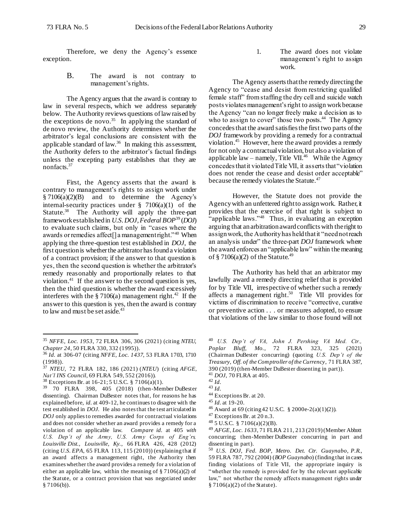Therefore, we deny the Agency's essence exception.

### B. The award is not contrary to management's rights.

The Agency argues that the award is contrary to law in several respects, which we address separately below. The Authority reviews questions of law raised by the exceptions de novo.<sup>35</sup> In applying the standard of de novo review, the Authority determines whether the arbitrator's legal conclusions are consistent with the applicable standard of law. $36$  In making this assessment, the Authority defers to the arbitrator's factual findings unless the excepting party establishes that they are nonfacts.<sup>37</sup>

First, the Agency asserts that the award is contrary to management's rights to assign work under § 7106(a)(2)(B) and to determine the Agency's internal-security practices under  $\S$  7106(a)(1) of the Statute.<sup>38</sup> The Authority will apply the three-part framework established in *U.S. DOJ, Federal BOP*<sup>39</sup> (*DOJ*) to evaluate such claims, but only in "cases where the awards or remedies affect<sup>[]</sup> a management right."<sup>40</sup> When applying the three-question test established in *DOJ*, the first question is whether the arbitrator has found a violation of a contract provision; if the answer to that question is yes, then the second question is whether the arbitrator's remedy reasonably and proportionally relates to that violation. $41$  If the answer to the second question is yes, then the third question is whether the award excessively interferes with the  $\S 7106(a)$  management right.<sup>42</sup> If the answer to this question is yes, then the award is contrary to law and must be set aside.<sup>43</sup>

l

1. The award does not violate management's right to assign work.

The Agency asserts that the remedy directing the Agency to "cease and desist from restricting qualified female staff" from staffing the dry cell and suicide watch posts violates management's right to assign work because the Agency "can no longer freely make a decision as to who to assign to cover" those two posts.<sup>44</sup> The Agency concedes that the award satisfies the first two parts of the *DOJ* framework by providing a remedy for a contractual violation. 45 However, here the award provides a remedy for not only a contractual violation, but also a violation of applicable  $law - namely$ , Title VII.<sup>46</sup> While the Agency concedes that it violated Title VII, it asserts that "violation does not render the cease and desist order acceptable" because the remedy violates the Statute.<sup>47</sup>

However, the Statute does not provide the Agency with an unfettered right to assign work. Rather, it provides that the exercise of that right is subject to "applicable laws."<sup>48</sup> Thus, in evaluating an exception arguing that an arbitration award conflicts with the right to assign work, the Authority has held that it "need not reach an analysis under" the three-part *DOJ* framework where the award enforces an "applicable law" within the meaning of § 7106(a)(2) of the Statute.<sup>49</sup>

The Authority has held that an arbitrator may lawfully award a remedy directing relief that is provided for by Title VII, irrespective of whether such a remedy affects a management right. 50 Title VII provides for victims of discrimination to receive "corrective, curative or preventive action . . . or measures adopted, to ensure that violations of the law similar to those found will not

<sup>50</sup> *U.S. DOJ, Fed. BOP, Metro. Det. Ctr. Guaynabo, P.R.*, 59 FLRA 787, 792 (2004) (*BOP Guaynabo*) (finding that in cases finding violations of Title VII, the appropriate inquiry is "whether the remedy is provided for by the relevant applicable law," not whether the remedy affects management rights under § 7106(a)(2) of the Statute).

<sup>35</sup> *NFFE, Loc. 1953*, 72 FLRA 306, 306 (2021) (citing *NTEU, Chapter 24*, 50 FLRA 330, 332 (1995)).

<sup>36</sup> *Id.* at 306-07 (citing *NFFE, Loc. 1437*, 53 FLRA 1703, 1710 (1998)).

<sup>37</sup> *NTEU*, 72 FLRA 182, 186 (2021) (*NTEU*) (citing *AFGE, Nat'l INS Council*, 69 FLRA 549, 552 (2016)).

 $38$  Exceptions Br. at 16-21; 5 U.S.C. § 7106(a)(1).

<sup>39</sup> 70 FLRA 398, 405 (2018) (then-Member DuBester dissenting). Chairman DuBester notes that, for reasons he has explained before, *id.* at 409-12, he continues to disagree with the test established in *DOJ*. He also notes that the test articulated in *DOJ* only applies to remedies awarded for contractual violations and does not consider whether an award provides a remedy for a violation of an applicable law. *Compare id.* at 405 *with U.S. Dep't of the Army, U.S. Army Corps of Eng'rs, Louisville Dist., Louisville, Ky.*, 66 FLRA 426, 428 (2012) (citing *U.S. EPA*, 65 FLRA 113, 115 (2010)) (explaining that if an award affects a management right, the Authority then examines whether the award provides a remedy for a violation of either an applicable law, within the meaning of § 7106(a)(2) of the Statute, or a contract provision that was negotiated under § 7106(b)).

<sup>40</sup> *U.S. Dep't of VA, John J. Pershing VA Med. Ctr., Poplar Bluff, Mo.*, 72 FLRA 323, 325 (2021) (Chairman DuBester concurring) (quoting *U.S. Dep't of the Treasury, Off. of the Comptroller of the Currency*, 71 FLRA 387, 390 (2019) (then-Member DuBester dissenting in part)). <sup>41</sup> *DOJ*, 70 FLRA at 405.

<sup>42</sup> *Id.*

<sup>43</sup> *Id.*

<sup>44</sup> Exceptions Br. at 20.

<sup>45</sup> *Id.* at 19-20.

<sup>46</sup> Award at 69 (citing 42 U.S.C. § 2000e-2(a)(1)(2)).

<sup>47</sup> Exceptions Br. at 20 n.3.

<sup>48</sup> 5 U.S.C. § 7106(a)(2)(B).

<sup>49</sup> *AFGE, Loc. 1633*, 71 FLRA 211, 213 (2019) (Member Abbott concurring; then-Member DuBester concurring in part and dissenting in part).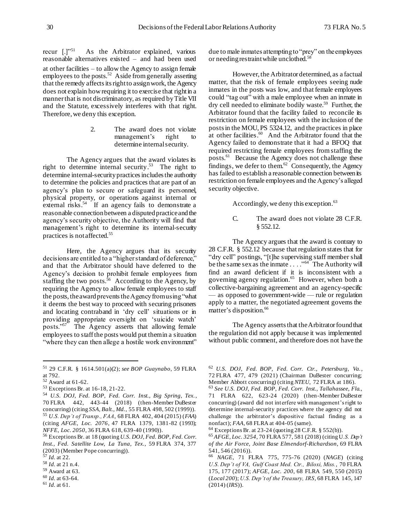recur  $\left[ . \right]$ <sup>"51</sup> As the Arbitrator explained, various reasonable alternatives existed – and had been used at other facilities – to allow the Agency to assign female employees to the posts.<sup>52</sup> Aside from generally asserting that the remedy affects its right to assign work, the Agency does not explain how requiring it to exercise that right in a manner that is not discriminatory, as required by Title VII and the Statute, excessively interferes with that right. Therefore, we deny this exception.

> 2. The award does not violate management's right to determine internal security.

The Agency argues that the award violates its right to determine internal security. 53 The right to determine internal-security practices includes the authority to determine the policies and practices that are part of an agency's plan to secure or safeguard its personnel, physical property, or operations against internal or external risks.<sup>54</sup> If an agency fails to demonstrate a reasonable connection between a disputed practice and the agency's security objective, the Authority will find that management's right to determine its internal-security practices is not affected.<sup>55</sup>

Here, the Agency argues that its security decisions are entitled to a "higher standard of deference," and that the Arbitrator should have deferred to the Agency's decision to prohibit female employees from staffing the two posts.<sup>56</sup> According to the Agency, by requiring the Agency to allow female employees to staff the posts, the award prevents the Agency from using "what it deems the best way to proceed with securing prisoners and locating contraband in 'dry cell' situations or in providing appropriate oversight on 'suicide watch' posts."<sup>57</sup> The Agency asserts that allowing female employees to staff the posts would put them in a situation "where they can then allege a hostile work environment"

l

due to male inmates attempting to "prey" on the employees or needing restraint while unclothed.<sup>58</sup>

However, the Arbitrator determined, as a factual matter, that the risk of female employees seeing nude inmates in the posts was low, and that female employees could "tag out" with a male employee when an inmate in dry cell needed to eliminate bodily waste. 59 Further, the Arbitrator found that the facility failed to reconcile its restriction on female employees with the inclusion of the posts in the MOU, PS 5324.12, and the practices in place at other facilities. 60 And the Arbitrator found that the Agency failed to demonstrate that it had a BFOQ that required restricting female employees from staffing the posts.<sup>61</sup> Because the Agency does not challenge these findings, we defer to them. $62$  Consequently, the Agency has failed to establish a reasonable connection between its restriction on female employees and the Agency's alleged security objective.

Accordingly, we deny this exception.<sup>63</sup>

C. The award does not violate 28 C.F.R. § 552.12.

The Agency argues that the award is contrary to 28 C.F.R. § 552.12 because that regulation states that for "dry cell" postings, "[t]he supervising staff member shall be the same sex as the inmate . . . . "<sup>64</sup> The Authority will find an award deficient if it is inconsistent with a governing agency regulation.<sup>65</sup> However, when both a collective-bargaining agreement and an agency-specific — as opposed to government-wide — rule or regulation apply to a matter, the negotiated agreement governs the matter's disposition. 66

The Agency asserts that the Arbitrator found that the regulation did not apply because it was implemented without public comment, and therefore does not have the

<sup>62</sup> *U.S. DOJ, Fed. BOP, Fed. Corr. Ctr., Petersburg, Va.*, 72 FLRA 477, 479 (2021) (Chairman DuBester concurring; Member Abbott concurring) (citing *NTEU*, 72 FLRA at 186).

<sup>51</sup> 29 C.F.R. § 1614.501(a)(2); *see BOP Guaynabo*, 59 FLRA at 792.

<sup>52</sup> Award at 61-62.

<sup>53</sup> Exceptions Br. at 16-18, 21-22.

<sup>54</sup> *U.S. DOJ, Fed. BOP, Fed. Corr. Inst., Big Spring, Tex.*, 70 FLRA 442, 443-44 (2018) (then-Member DuBester concurring) (citing *SSA, Balt., Md.*, 55 FLRA 498, 502 (1999)). <sup>55</sup> *U.S. Dep't of Transp., FAA*, 68 FLRA 402, 404 (2015) (*FAA*) (citing *AFGE, Loc. 2076*, 47 FLRA 1379, 1381-82 (1993); *NFFE, Loc. 2050*, 36 FLRA 618, 639-40 (1990)).

<sup>56</sup> Exceptions Br. at 18 (quoting *U.S. DOJ, Fed. BOP, Fed. Corr. Inst., Fed. Satellite Low, La Tuna, Tex.*, 59 FLRA 374, 377 (2003) (Member Pope concurring)).

<sup>57</sup> *Id.* at 22.

<sup>58</sup> *Id.* at 21 n.4.

<sup>59</sup> Award at 63.

<sup>60</sup> *Id.* at 63-64.

 $^{61}$  *Id.* at 61.

<sup>63</sup> *See U.S. DOJ, Fed. BOP, Fed. Corr. Inst., Tallahassee, Fla.*, 71 FLRA 622, 623-24 (2020) (then-Member DuBester concurring) (award did not int erfere with management's right to determine internal-security practices where the agency did not challenge the arbitrator's dispositive factual finding as a nonfact); *FAA*, 68 FLRA at 404-05 (same).

<sup>64</sup> Exceptions Br. at 23-24 (quoting 28 C.F.R. § 552(b)).

<sup>65</sup> *AFGE, Loc. 3254*, 70 FLRA 577, 581 (2018) (citing U*.S. Dep't of the Air Force, Joint Base Elmendorf-Richardson*, 69 FLRA 541, 546 (2016)).

<sup>66</sup> *NAGE*, 71 FLRA 775, 775-76 (2020) (*NAGE*) (citing *U.S. Dep't of VA, Gulf Coast Med. Ctr., Biloxi, Miss.*, 70 FLRA 175, 177 (2017); *AFGE, Loc. 200*, 68 FLRA 549, 550 (2015) (*Local 200*); *U.S. Dep't of the Treasury, IRS*, 68 FLRA 145, 147 (2014) (*IRS*)).